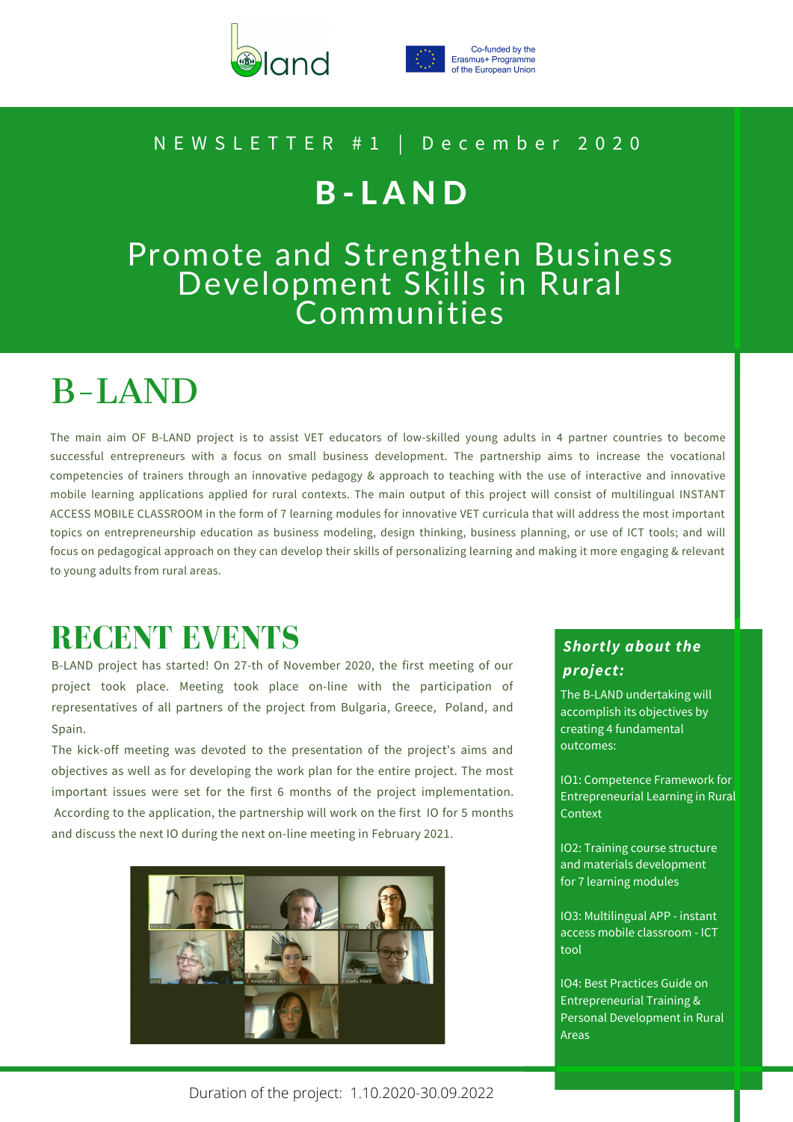



Co-funded by the Erasmus+ Programme of the European Union

#### N E W S L E T T E R # 1 | D e c e m b e r 2 0 2 0

## B - L A N D

### Promote and Strengthen Business Development Skills in Rural Communities

# B-LAND

The main aim OF B-LAND project is to assist VET educators of low-skilled young adults in 4 partner countries to become successful entrepreneurs with a focus on small business development. The partnership aims to increase the vocational competencies of trainers through an innovative pedagogy & approach to teaching with the use of interactive and innovative mobile learning applications applied for rural contexts. The main output of this project will consist of multilingual INSTANT ACCESS MOBILE CLASSROOM in the form of 7 learning modules for innovative VET curricula that will address the most important topics on entrepreneurship education as business modeling, design thinking, business planning, or use of ICT tools; and will focus on pedagogical approach on they can develop their skills of personalizing learning and making it more engaging & relevant to young adults from rural areas.

## **RECENT EVENTS**

B-LAND project has started! On 27-th of November 2020, the first meeting of our project took place. Meeting took place on-line with the participation of representatives of all partners of the project from Bulgaria, Greece, Poland, and Spain.

The kick-off meeting was devoted to the presentation of the project's aims and objectives as well as for developing the work plan for the entire project. The most important issues were set for the first 6 months of the project implementation. According to the application, the partnership will work on the first IO for 5 months and discuss the next IO during the next on-line meeting in February 2021.



### *Shortly about the project:*

The B-LAND undertaking will accomplish its objectives by creating 4 fundamental outcomes:

IO1: Competence Framework for Entrepreneurial Learning in Rural **Context** 

IO2: Training course structure and materials development for 7 learning modules

IO3: Multilingual APP - instant access mobile classroom - ICT tool

IO4: Best Practices Guide on Entrepreneurial Training & Personal Development in Rural Areas